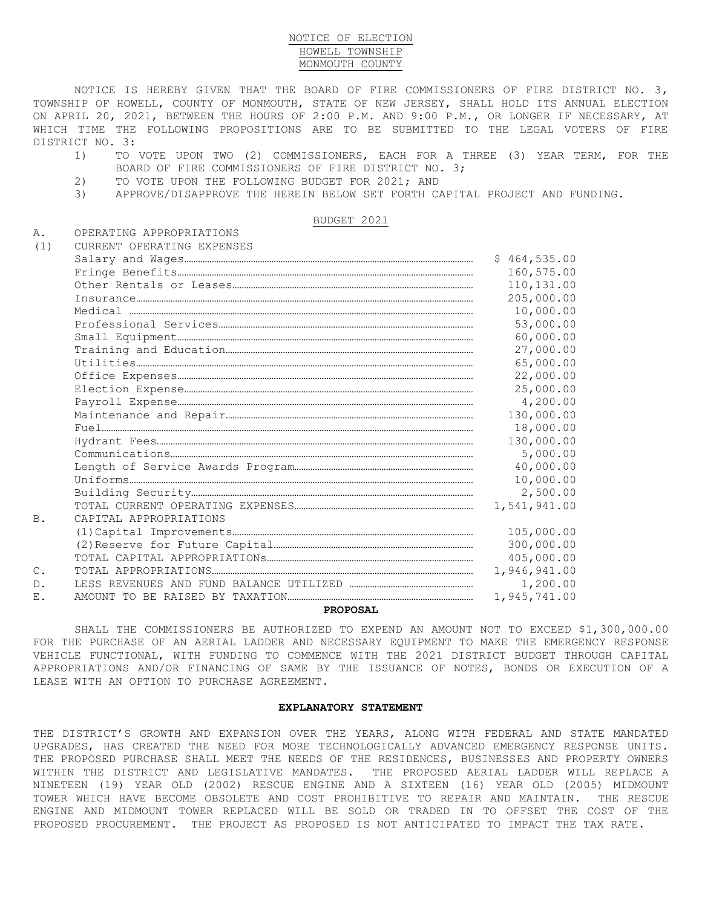## NOTICE OF ELECTION HOWELL TOWNSHIP MONMOUTH COUNTY

NOTICE IS HEREBY GIVEN THAT THE BOARD OF FIRE COMMISSIONERS OF FIRE DISTRICT NO. 3, TOWNSHIP OF HOWELL, COUNTY OF MONMOUTH, STATE OF NEW JERSEY, SHALL HOLD ITS ANNUAL ELECTION ON APRIL 20, 2021, BETWEEN THE HOURS OF 2:00 P.M. AND 9:00 P.M., OR LONGER IF NECESSARY, AT WHICH TIME THE FOLLOWING PROPOSITIONS ARE TO BE SUBMITTED TO THE LEGAL VOTERS OF FIRE DISTRICT NO. 3:

- 1) TO VOTE UPON TWO (2) COMMISSIONERS, EACH FOR A THREE (3) YEAR TERM, FOR THE BOARD OF FIRE COMMISSIONERS OF FIRE DISTRICT NO. 3;
- 2) TO VOTE UPON THE FOLLOWING BUDGET FOR 2021; AND
- 3) APPROVE/DISAPPROVE THE HEREIN BELOW SET FORTH CAPITAL PROJECT AND FUNDING.

BUDGET 2021

A. OPERATING APPROPRIATIONS

| (1)            | CURRENT OPERATING EXPENSES |              |
|----------------|----------------------------|--------------|
|                |                            | \$464,535.00 |
|                |                            | 160,575.00   |
|                |                            | 110, 131.00  |
|                |                            | 205,000.00   |
|                | $\verb"Media" can\\$       | 10,000.00    |
|                |                            | 53,000.00    |
|                |                            | 60,000.00    |
|                |                            | 27,000.00    |
|                |                            | 65,000.00    |
|                |                            | 22,000.00    |
|                |                            | 25,000.00    |
|                |                            | 4,200.00     |
|                |                            | 130,000.00   |
|                |                            | 18,000.00    |
|                |                            | 130,000.00   |
|                |                            | 5,000.00     |
|                |                            | 40,000.00    |
|                |                            | 10,000.00    |
|                |                            | 2,500.00     |
|                |                            | 1,541,941.00 |
| B.             | CAPITAL APPROPRIATIONS     |              |
|                |                            | 105,000.00   |
|                |                            | 300,000.00   |
|                |                            | 405,000.00   |
| $\mathsf{C}$ . |                            | 1,946,941.00 |
| D.             |                            | 1,200.00     |
| Ε.             |                            | 1,945,741.00 |

## **PROPOSAL**

SHALL THE COMMISSIONERS BE AUTHORIZED TO EXPEND AN AMOUNT NOT TO EXCEED \$1,300,000.00 FOR THE PURCHASE OF AN AERIAL LADDER AND NECESSARY EQUIPMENT TO MAKE THE EMERGENCY RESPONSE VEHICLE FUNCTIONAL, WITH FUNDING TO COMMENCE WITH THE 2021 DISTRICT BUDGET THROUGH CAPITAL APPROPRIATIONS AND/OR FINANCING OF SAME BY THE ISSUANCE OF NOTES, BONDS OR EXECUTION OF A LEASE WITH AN OPTION TO PURCHASE AGREEMENT.

## **EXPLANATORY STATEMENT**

THE DISTRICT'S GROWTH AND EXPANSION OVER THE YEARS, ALONG WITH FEDERAL AND STATE MANDATED UPGRADES, HAS CREATED THE NEED FOR MORE TECHNOLOGICALLY ADVANCED EMERGENCY RESPONSE UNITS. THE PROPOSED PURCHASE SHALL MEET THE NEEDS OF THE RESIDENCES, BUSINESSES AND PROPERTY OWNERS WITHIN THE DISTRICT AND LEGISLATIVE MANDATES. THE PROPOSED AERIAL LADDER WILL REPLACE A NINETEEN (19) YEAR OLD (2002) RESCUE ENGINE AND A SIXTEEN (16) YEAR OLD (2005) MIDMOUNT TOWER WHICH HAVE BECOME OBSOLETE AND COST PROHIBITIVE TO REPAIR AND MAINTAIN. THE RESCUE ENGINE AND MIDMOUNT TOWER REPLACED WILL BE SOLD OR TRADED IN TO OFFSET THE COST OF THE PROPOSED PROCUREMENT. THE PROJECT AS PROPOSED IS NOT ANTICIPATED TO IMPACT THE TAX RATE.